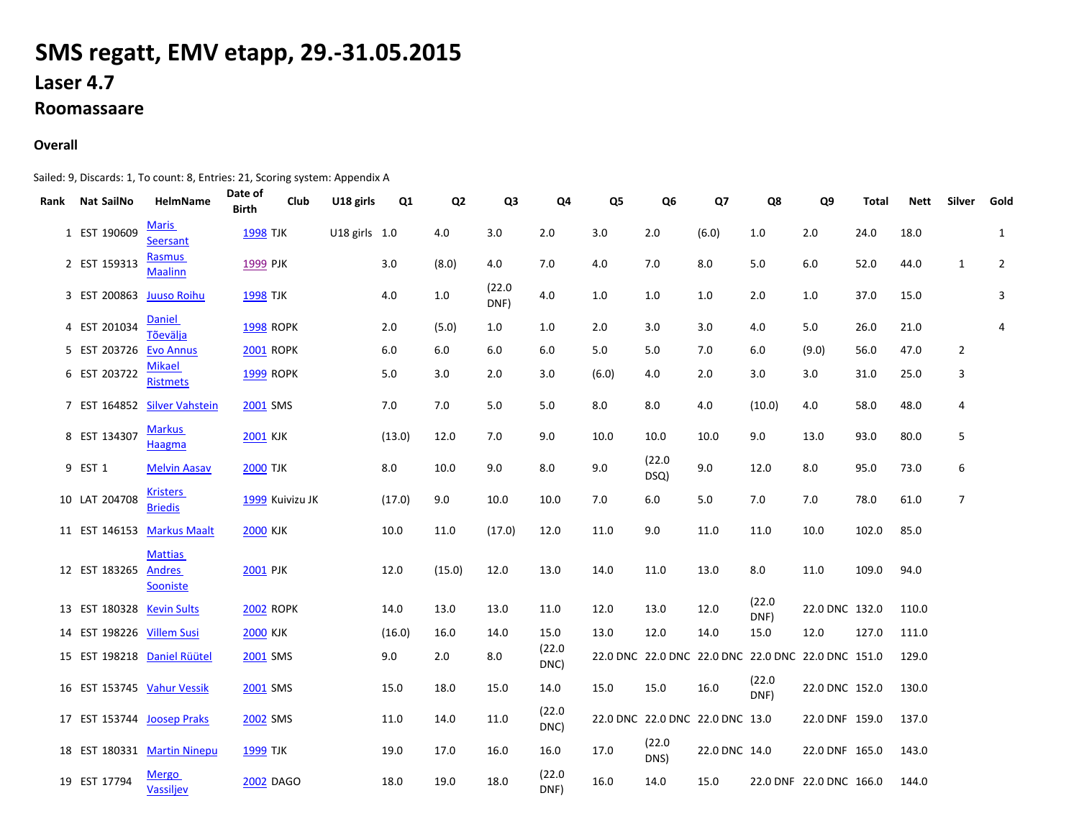# **SMS regatt, EMV etapp, 29.-31.05.2015**

## **Laser 4.7**

#### **Roomassaare**

### **Overall**

#### Sailed: 9, Discards: 1, To count: 8, Entries: 21, Scoring system: Appendix A

| Rank |         | <b>Nat SailNo</b>    | HelmName                          | Date of<br><b>Birth</b> | Club            | U18 girls     | Q1     | Q <sub>2</sub> | Q <sub>3</sub> | Q4             | Q5    | Q <sub>6</sub>                                     | Q7            | Q8             | Q9                      | <b>Total</b> | <b>Nett</b> | <b>Silver</b>  | Gold           |
|------|---------|----------------------|-----------------------------------|-------------------------|-----------------|---------------|--------|----------------|----------------|----------------|-------|----------------------------------------------------|---------------|----------------|-------------------------|--------------|-------------|----------------|----------------|
|      |         | 1 EST 190609         | Maris<br>Seersant                 | 1998 TJK                |                 | U18 girls 1.0 |        | 4.0            | 3.0            | 2.0            | 3.0   | 2.0                                                | (6.0)         | 1.0            | 2.0                     | 24.0         | 18.0        |                | $\mathbf{1}$   |
|      |         | 2 EST 159313         | <b>Rasmus</b><br><b>Maalinn</b>   | 1999 PJK                |                 |               | 3.0    | (8.0)          | 4.0            | 7.0            | 4.0   | 7.0                                                | 8.0           | 5.0            | 6.0                     | 52.0         | 44.0        | $\mathbf{1}$   | $\overline{2}$ |
|      |         | 3 EST 200863         | <b>Juuso Roihu</b>                | <b>1998 TJK</b>         |                 |               | 4.0    | 1.0            | (22.0)<br>DNF) | 4.0            | 1.0   | 1.0                                                | 1.0           | 2.0            | 1.0                     | 37.0         | 15.0        |                | 3              |
|      |         | 4 EST 201034         | Daniel<br><b>Tõevälja</b>         | <b>1998 ROPK</b>        |                 |               | 2.0    | (5.0)          | 1.0            | 1.0            | 2.0   | 3.0                                                | 3.0           | 4.0            | 5.0                     | 26.0         | 21.0        |                | 4              |
|      |         |                      | 5 EST 203726 Evo Annus            | <b>2001 ROPK</b>        |                 |               | 6.0    | 6.0            | 6.0            | 6.0            | 5.0   | 5.0                                                | 7.0           | 6.0            | (9.0)                   | 56.0         | 47.0        | $\overline{2}$ |                |
|      |         | 6 EST 203722         | Mikael<br><b>Ristmets</b>         | 1999 ROPK               |                 |               | 5.0    | 3.0            | 2.0            | 3.0            | (6.0) | 4.0                                                | 2.0           | 3.0            | 3.0                     | 31.0         | 25.0        | 3              |                |
|      |         |                      | 7 EST 164852 Silver Vahstein      | 2001 SMS                |                 |               | 7.0    | 7.0            | 5.0            | 5.0            | 8.0   | 8.0                                                | 4.0           | (10.0)         | 4.0                     | 58.0         | 48.0        | 4              |                |
|      |         | 8 EST 134307         | Markus<br><b>Haagma</b>           | <b>2001 KJK</b>         |                 |               | (13.0) | 12.0           | 7.0            | 9.0            | 10.0  | 10.0                                               | 10.0          | 9.0            | 13.0                    | 93.0         | 80.0        | 5              |                |
|      | 9 EST 1 |                      | <b>Melvin Aasav</b>               | <b>2000 TJK</b>         |                 |               | 8.0    | 10.0           | 9.0            | 8.0            | 9.0   | (22.0)<br>DSQ)                                     | 9.0           | 12.0           | 8.0                     | 95.0         | 73.0        | 6              |                |
|      |         | 10 LAT 204708        | Kristers<br><b>Briedis</b>        |                         | 1999 Kuivizu JK |               | (17.0) | 9.0            | 10.0           | 10.0           | 7.0   | 6.0                                                | 5.0           | 7.0            | 7.0                     | 78.0         | 61.0        | $\overline{7}$ |                |
|      |         |                      | 11 EST 146153 Markus Maalt        | <b>2000 KJK</b>         |                 |               | 10.0   | 11.0           | (17.0)         | 12.0           | 11.0  | 9.0                                                | 11.0          | 11.0           | 10.0                    | 102.0        | 85.0        |                |                |
|      |         | 12 EST 183265 Andres | <b>Mattias</b><br><b>Sooniste</b> | 2001 PJK                |                 |               | 12.0   | (15.0)         | 12.0           | 13.0           | 14.0  | 11.0                                               | 13.0          | 8.0            | 11.0                    | 109.0        | 94.0        |                |                |
|      |         |                      | 13 EST 180328 Kevin Sults         | <b>2002 ROPK</b>        |                 |               | 14.0   | 13.0           | 13.0           | 11.0           | 12.0  | 13.0                                               | 12.0          | (22.0)<br>DNF) | 22.0 DNC 132.0          |              | 110.0       |                |                |
|      |         |                      | 14 EST 198226 Villem Susi         | <b>2000 KJK</b>         |                 |               | (16.0) | 16.0           | 14.0           | 15.0           | 13.0  | 12.0                                               | 14.0          | 15.0           | 12.0                    | 127.0        | 111.0       |                |                |
|      |         |                      | 15 EST 198218 Daniel Rüütel       | 2001 SMS                |                 |               | 9.0    | 2.0            | 8.0            | (22.0)<br>DNC) |       | 22.0 DNC 22.0 DNC 22.0 DNC 22.0 DNC 22.0 DNC 151.0 |               |                |                         |              | 129.0       |                |                |
|      |         |                      | 16 EST 153745 Vahur Vessik        | 2001 SMS                |                 |               | 15.0   | 18.0           | 15.0           | 14.0           | 15.0  | 15.0                                               | 16.0          | (22.0)<br>DNF) | 22.0 DNC 152.0          |              | 130.0       |                |                |
|      |         |                      | 17 EST 153744 Joosep Praks        | 2002 SMS                |                 |               | 11.0   | 14.0           | 11.0           | (22.0)<br>DNC) |       | 22.0 DNC 22.0 DNC 22.0 DNC 13.0                    |               |                | 22.0 DNF 159.0          |              | 137.0       |                |                |
|      |         |                      | 18 EST 180331 Martin Ninepu       | <b>1999 TJK</b>         |                 |               | 19.0   | 17.0           | 16.0           | 16.0           | 17.0  | (22.0)<br>DNS)                                     | 22.0 DNC 14.0 |                | 22.0 DNF 165.0          |              | 143.0       |                |                |
|      |         | 19 EST 17794         | Mergo<br>Vassiljev                | 2002 DAGO               |                 |               | 18.0   | 19.0           | 18.0           | (22.0)<br>DNF) | 16.0  | 14.0                                               | 15.0          |                | 22.0 DNF 22.0 DNC 166.0 |              | 144.0       |                |                |